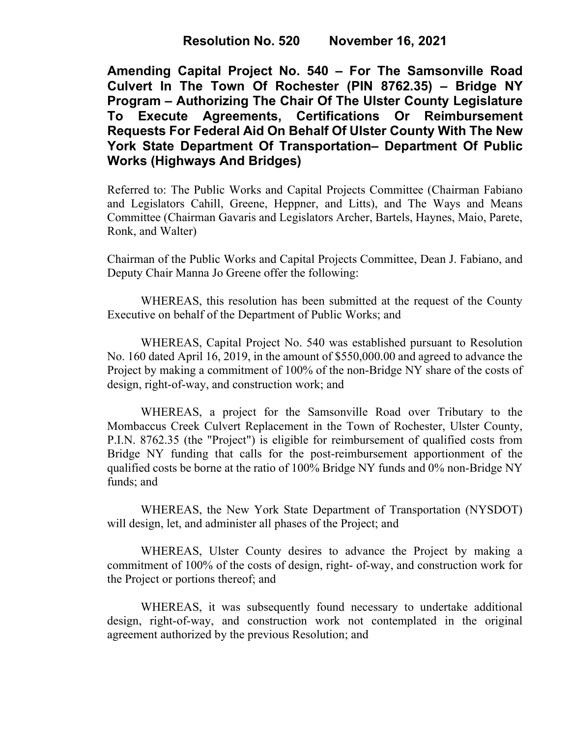**Amending Capital Project No. 540 – For The Samsonville Road Culvert In The Town Of Rochester (PIN 8762.35) – Bridge NY Program – Authorizing The Chair Of The Ulster County Legislature Certifications Or Reimbursement Requests For Federal Aid On Behalf Of Ulster County With The New York State Department Of Transportation– Department Of Public Works (Highways And Bridges)**

Referred to: The Public Works and Capital Projects Committee (Chairman Fabiano and Legislators Cahill, Greene, Heppner, and Litts), and The Ways and Means Committee (Chairman Gavaris and Legislators Archer, Bartels, Haynes, Maio, Parete, Ronk, and Walter)

Chairman of the Public Works and Capital Projects Committee, Dean J. Fabiano, and Deputy Chair Manna Jo Greene offer the following:

WHEREAS, this resolution has been submitted at the request of the County Executive on behalf of the Department of Public Works; and

WHEREAS, Capital Project No. 540 was established pursuant to Resolution No. 160 dated April 16, 2019, in the amount of \$550,000.00 and agreed to advance the Project by making a commitment of 100% of the non-Bridge NY share of the costs of design, right-of-way, and construction work; and

WHEREAS, a project for the Samsonville Road over Tributary to the Mombaccus Creek Culvert Replacement in the Town of Rochester, Ulster County, P.I.N. 8762.35 (the "Project") is eligible for reimbursement of qualified costs from Bridge NY funding that calls for the post-reimbursement apportionment of the qualified costs be borne at the ratio of 100% Bridge NY funds and 0% non-Bridge NY funds; and

WHEREAS, the New York State Department of Transportation (NYSDOT) will design, let, and administer all phases of the Project; and

WHEREAS, Ulster County desires to advance the Project by making a commitment of 100% of the costs of design, right- of-way, and construction work for the Project or portions thereof; and

WHEREAS, it was subsequently found necessary to undertake additional design, right-of-way, and construction work not contemplated in the original agreement authorized by the previous Resolution; and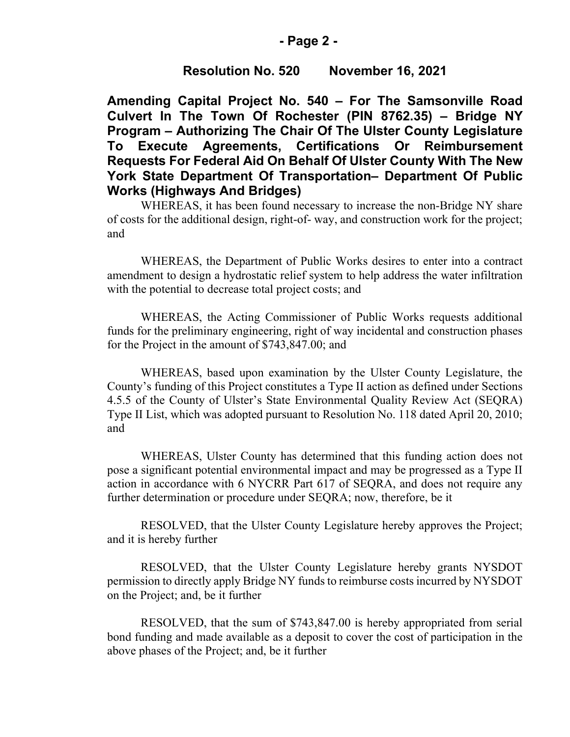#### **- Page 2 -**

# **Resolution No. 520 November 16, 2021**

**Amending Capital Project No. 540 – For The Samsonville Road Culvert In The Town Of Rochester (PIN 8762.35) – Bridge NY Program – Authorizing The Chair Of The Ulster County Legislature To Execute Agreements, Certifications Or Reimbursement Requests For Federal Aid On Behalf Of Ulster County With The New York State Department Of Transportation– Department Of Public Works (Highways And Bridges)**

WHEREAS, it has been found necessary to increase the non-Bridge NY share of costs for the additional design, right-of- way, and construction work for the project; and

WHEREAS, the Department of Public Works desires to enter into a contract amendment to design a hydrostatic relief system to help address the water infiltration with the potential to decrease total project costs; and

WHEREAS, the Acting Commissioner of Public Works requests additional funds for the preliminary engineering, right of way incidental and construction phases for the Project in the amount of \$743,847.00; and

WHEREAS, based upon examination by the Ulster County Legislature, the County's funding of this Project constitutes a Type II action as defined under Sections 4.5.5 of the County of Ulster's State Environmental Quality Review Act (SEQRA) Type II List, which was adopted pursuant to Resolution No. 118 dated April 20, 2010; and

WHEREAS, Ulster County has determined that this funding action does not pose a significant potential environmental impact and may be progressed as a Type II action in accordance with 6 NYCRR Part 617 of SEQRA, and does not require any further determination or procedure under SEQRA; now, therefore, be it

RESOLVED, that the Ulster County Legislature hereby approves the Project; and it is hereby further

RESOLVED, that the Ulster County Legislature hereby grants NYSDOT permission to directly apply Bridge NY funds to reimburse costs incurred by NYSDOT on the Project; and, be it further

RESOLVED, that the sum of \$743,847.00 is hereby appropriated from serial bond funding and made available as a deposit to cover the cost of participation in the above phases of the Project; and, be it further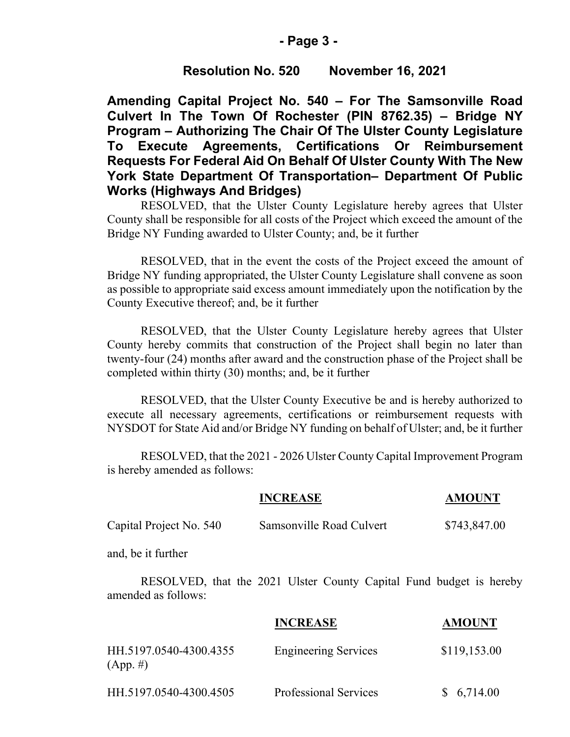#### **- Page 3 -**

# **Resolution No. 520 November 16, 2021**

**Amending Capital Project No. 540 – For The Samsonville Road Culvert In The Town Of Rochester (PIN 8762.35) – Bridge NY Program – Authorizing The Chair Of The Ulster County Legislature To Execute Agreements, Certifications Or Reimbursement Requests For Federal Aid On Behalf Of Ulster County With The New York State Department Of Transportation– Department Of Public Works (Highways And Bridges)**

RESOLVED, that the Ulster County Legislature hereby agrees that Ulster County shall be responsible for all costs of the Project which exceed the amount of the Bridge NY Funding awarded to Ulster County; and, be it further

RESOLVED, that in the event the costs of the Project exceed the amount of Bridge NY funding appropriated, the Ulster County Legislature shall convene as soon as possible to appropriate said excess amount immediately upon the notification by the County Executive thereof; and, be it further

RESOLVED, that the Ulster County Legislature hereby agrees that Ulster County hereby commits that construction of the Project shall begin no later than twenty-four (24) months after award and the construction phase of the Project shall be completed within thirty (30) months; and, be it further

RESOLVED, that the Ulster County Executive be and is hereby authorized to execute all necessary agreements, certifications or reimbursement requests with NYSDOT for State Aid and/or Bridge NY funding on behalf of Ulster; and, be it further

RESOLVED, that the 2021 - 2026 Ulster County Capital Improvement Program is hereby amended as follows:

|                                                                                            | <b>INCREASE</b>              | <b>AMOUNT</b> |  |
|--------------------------------------------------------------------------------------------|------------------------------|---------------|--|
| Capital Project No. 540                                                                    | Samsonville Road Culvert     | \$743,847.00  |  |
| and, be it further                                                                         |                              |               |  |
| RESOLVED, that the 2021 Ulster County Capital Fund budget is hereby<br>amended as follows: |                              |               |  |
|                                                                                            | <b>INCREASE</b>              | <b>AMOUNT</b> |  |
| HH.5197.0540-4300.4355<br>$(App. \#)$                                                      | <b>Engineering Services</b>  | \$119,153.00  |  |
| HH.5197.0540-4300.4505                                                                     | <b>Professional Services</b> | 6,714.00      |  |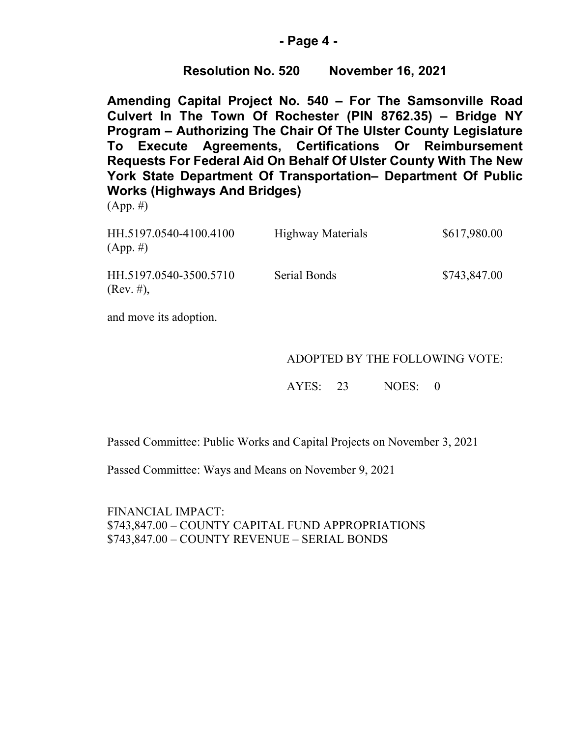# **- Page 4 -**

# **Resolution No. 520 November 16, 2021**

**Amending Capital Project No. 540 – For The Samsonville Road Culvert In The Town Of Rochester (PIN 8762.35) – Bridge NY Program – Authorizing The Chair Of The Ulster County Legislature To Execute Agreements, Certifications Or Reimbursement Requests For Federal Aid On Behalf Of Ulster County With The New York State Department Of Transportation– Department Of Public Works (Highways And Bridges)**

(App. #)

| HH.5197.0540-4100.4100<br>$(App. \#)$ | <b>Highway Materials</b> | \$617,980.00 |
|---------------------------------------|--------------------------|--------------|
| HH.5197.0540-3500.5710<br>(Rev. #),   | Serial Bonds             | \$743,847.00 |

and move its adoption.

# ADOPTED BY THE FOLLOWING VOTE:

AYES: 23 NOES: 0

Passed Committee: Public Works and Capital Projects on November 3, 2021

Passed Committee: Ways and Means on November 9, 2021

FINANCIAL IMPACT: \$743,847.00 – COUNTY CAPITAL FUND APPROPRIATIONS \$743,847.00 – COUNTY REVENUE – SERIAL BONDS